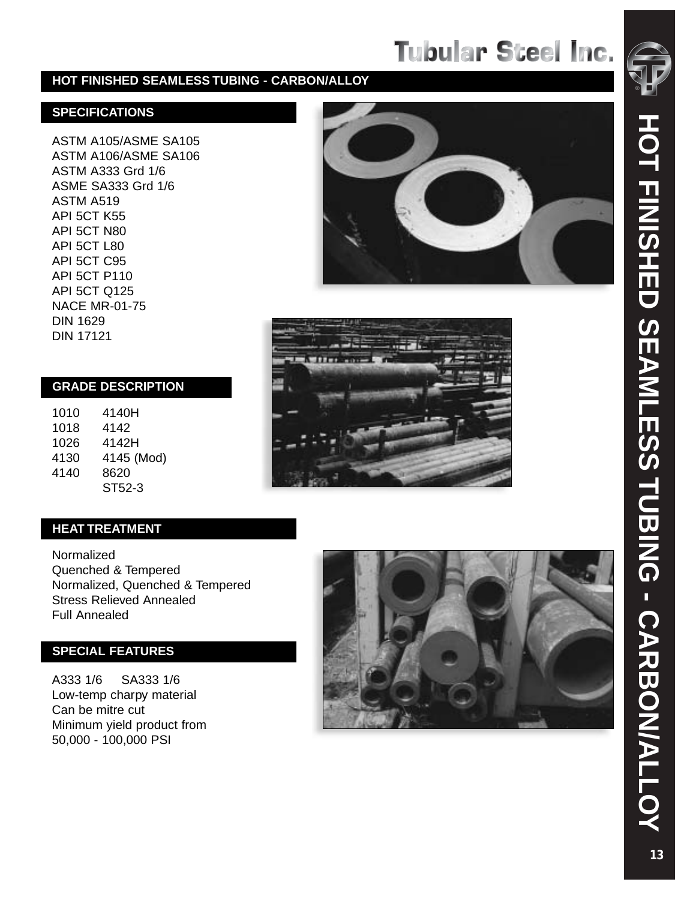#### **HOT FINISHED SEAMLESS TUBING - CARBON/ALLOY**

#### **SPECIFICATIONS**

ASTM A105/ASME SA105 ASTM A106/ASME SA106 ASTM A333 Grd 1/6 ASME SA333 Grd 1/6 ASTM A519 API 5CT K55 API 5CT N80 API 5CT L80 API 5CT C95 API 5CT P110 API 5CT Q125 NACE MR-01-75 DIN 1629 DIN 17121

#### **GRADE DESCRIPTION**

1010 4140H 1018 4142 1026 4142H 4130 4145 (Mod) 4140 8620 ST52-3





### **HEAT TREATMENT**

Normalized Quenched & Tempered Normalized, Quenched & Tempered Stress Relieved Annealed Full Annealed

### **SPECIAL FEATURES**

A333 1/6 SA333 1/6 Low-temp charpy material Can be mitre cut Minimum yield product from 50,000 - 100,000 PSI

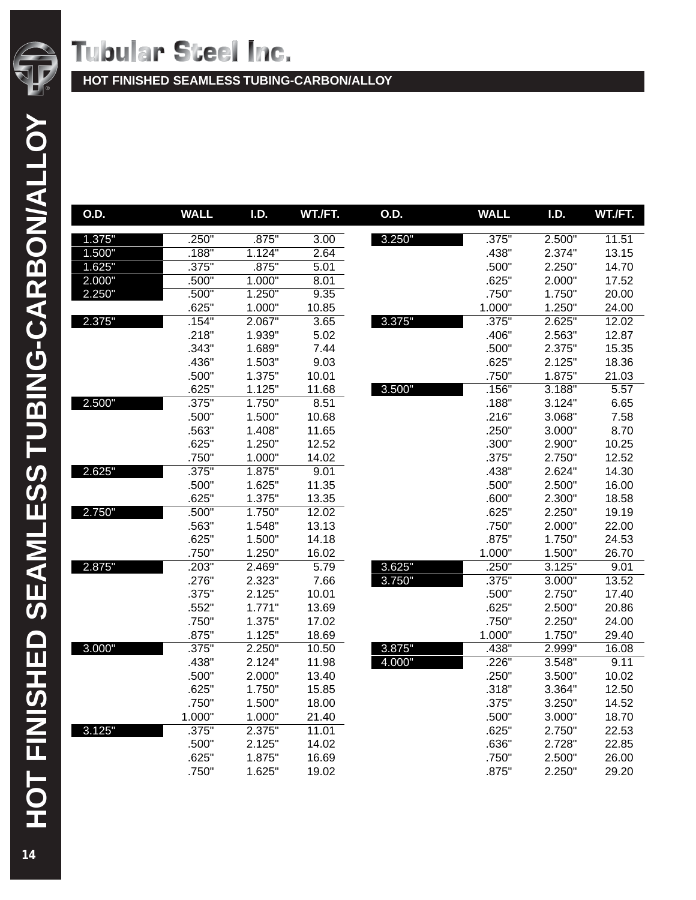

| O.D.   | <b>WALL</b> | I.D.   | WT./FT. | O.D.   | <b>WALL</b> | I.D.   | WT./FT. |
|--------|-------------|--------|---------|--------|-------------|--------|---------|
| 1.375" | .250"       | .875"  | 3.00    | 3.250" | .375"       | 2.500" | 11.51   |
| 1.500" | .188"       | 1.124" | 2.64    |        | .438"       | 2.374" | 13.15   |
| 1.625" | .375"       | .875"  | 5.01    |        | .500"       | 2.250" | 14.70   |
| 2.000" | .500"       | 1.000" | 8.01    |        | .625"       | 2.000" | 17.52   |
| 2.250" | .500"       | 1.250" | 9.35    |        | .750"       | 1.750" | 20.00   |
|        | .625"       | 1.000" | 10.85   |        | 1.000"      | 1.250" | 24.00   |
| 2.375" | .154"       | 2.067" | 3.65    | 3.375" | .375"       | 2.625" | 12.02   |
|        | .218"       | 1.939" | 5.02    |        | .406"       | 2.563" | 12.87   |
|        | .343"       | 1.689" | 7.44    |        | .500"       | 2.375" | 15.35   |
|        | .436"       | 1.503" | 9.03    |        | .625"       | 2.125" | 18.36   |
|        | .500"       | 1.375" | 10.01   |        | .750"       | 1.875" | 21.03   |
|        | .625"       | 1.125" | 11.68   | 3.500" | .156"       | 3.188" | 5.57    |
| 2.500" | .375"       | 1.750" | 8.51    |        | .188"       | 3.124" | 6.65    |
|        | .500"       | 1.500" | 10.68   |        | .216"       | 3.068" | 7.58    |
|        | .563"       | 1.408" | 11.65   |        | .250"       | 3.000" | 8.70    |
|        | .625"       | 1.250" | 12.52   |        | .300"       | 2.900" | 10.25   |
|        | .750"       | 1.000" | 14.02   |        | .375"       | 2.750" | 12.52   |
| 2.625" | .375"       | 1.875" | 9.01    |        | .438"       | 2.624" | 14.30   |
|        | .500"       | 1.625" | 11.35   |        | .500"       | 2.500" | 16.00   |
|        | .625"       | 1.375" | 13.35   |        | .600"       | 2.300" | 18.58   |
| 2.750" | .500"       | 1.750" | 12.02   |        | .625"       | 2.250" | 19.19   |
|        | .563"       | 1.548" | 13.13   |        | .750"       | 2.000" | 22.00   |
|        | .625"       | 1.500" | 14.18   |        | .875"       | 1.750" | 24.53   |
|        | .750"       | 1.250" | 16.02   |        | 1.000"      | 1.500" | 26.70   |
| 2.875" | .203"       | 2.469" | 5.79    | 3.625" | .250"       | 3.125" | 9.01    |
|        | .276"       | 2.323" | 7.66    | 3.750" | .375"       | 3.000" | 13.52   |
|        | .375"       | 2.125" | 10.01   |        | .500"       | 2.750" | 17.40   |
|        | .552"       | 1.771" | 13.69   |        | .625"       | 2.500" | 20.86   |
|        | .750"       | 1.375" | 17.02   |        | .750"       | 2.250" | 24.00   |
|        | .875"       | 1.125" | 18.69   |        | 1.000"      | 1.750" | 29.40   |
| 3.000" | .375"       | 2.250" | 10.50   | 3.875" | .438"       | 2.999" | 16.08   |
|        | .438"       | 2.124" | 11.98   | 4.000" | .226"       | 3.548" | 9.11    |
|        | .500"       | 2.000" | 13.40   |        | .250"       | 3.500" | 10.02   |
|        | .625"       | 1.750" | 15.85   |        | .318"       | 3.364" | 12.50   |
|        | .750"       | 1.500" | 18.00   |        | .375"       | 3.250" | 14.52   |
|        | 1.000"      | 1.000" | 21.40   |        | .500"       | 3.000" | 18.70   |
| 3.125" | .375"       | 2.375" | 11.01   |        | .625"       | 2.750" | 22.53   |
|        | .500"       | 2.125" | 14.02   |        | .636"       | 2.728" | 22.85   |
|        | .625"       | 1.875" | 16.69   |        | .750"       | 2.500" | 26.00   |
|        | .750"       | 1.625" | 19.02   |        | .875"       | 2.250" | 29.20   |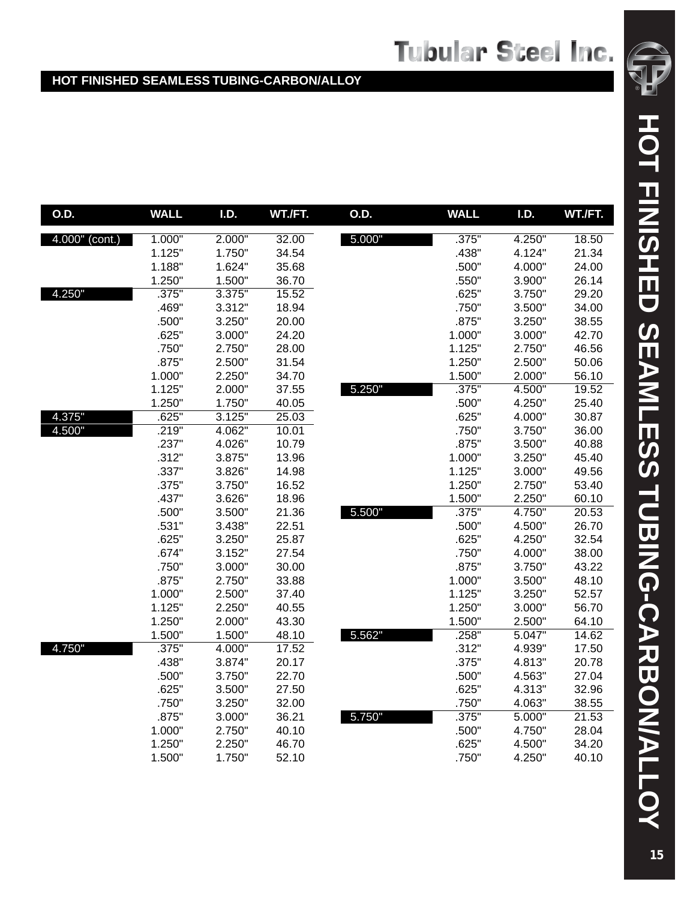| O.D.             | <b>WALL</b> | I.D.   | WT./FT.            | O.D.   | <b>WALL</b> | I.D.   | WT./FT. |
|------------------|-------------|--------|--------------------|--------|-------------|--------|---------|
| $4.000"$ (cont.) | 1.000"      | 2.000" | 32.00              | 5.000" | .375"       | 4.250" | 18.50   |
|                  | 1.125"      | 1.750" | 34.54              |        | .438"       | 4.124" | 21.34   |
|                  | 1.188"      | 1.624" | 35.68              |        | .500"       | 4.000" | 24.00   |
|                  | 1.250"      | 1.500" | 36.70              |        | .550"       | 3.900" | 26.14   |
| 4.250"           | .375"       | 3.375" | 15.52              |        | .625"       | 3.750" | 29.20   |
|                  | .469"       | 3.312" | 18.94              |        | .750"       | 3.500" | 34.00   |
|                  | .500"       | 3.250" | 20.00              |        | .875"       | 3.250" | 38.55   |
|                  | .625"       | 3.000" | 24.20              |        | 1.000"      | 3.000" | 42.70   |
|                  | .750"       | 2.750" | 28.00              |        | 1.125"      | 2.750" | 46.56   |
|                  | .875"       | 2.500" | 31.54              |        | 1.250"      | 2.500" | 50.06   |
|                  | 1.000"      | 2.250" | 34.70              |        | 1.500"      | 2.000" | 56.10   |
|                  | 1.125"      | 2.000" | 37.55              | 5.250" | .375"       | 4.500" | 19.52   |
|                  | 1.250"      | 1.750" | 40.05              |        | .500"       | 4.250" | 25.40   |
| 4.375"           | .625"       | 3.125" | 25.03              |        | .625"       | 4.000" | 30.87   |
| 4.500"           | .219"       | 4.062" | 10.01              |        | .750"       | 3.750" | 36.00   |
|                  | .237"       | 4.026" | 10.79              |        | .875"       | 3.500" | 40.88   |
|                  | .312"       | 3.875" | 13.96              |        | 1.000"      | 3.250" | 45.40   |
|                  | .337"       | 3.826" | 14.98              |        | 1.125"      | 3.000" | 49.56   |
|                  | .375"       | 3.750" | 16.52              |        | 1.250"      | 2.750" | 53.40   |
|                  | .437"       | 3.626" | 18.96              |        | 1.500"      | 2.250" | 60.10   |
|                  | .500"       | 3.500" | 21.36              | 5.500" | .375"       | 4.750" | 20.53   |
|                  | .531"       | 3.438" | 22.51              |        | .500"       | 4.500" | 26.70   |
|                  | .625"       | 3.250" | 25.87              |        | .625"       | 4.250" | 32.54   |
|                  | .674"       | 3.152" | 27.54              |        | .750"       | 4.000" | 38.00   |
|                  | .750"       | 3.000" | 30.00              |        | .875"       | 3.750" | 43.22   |
|                  | .875"       | 2.750" | 33.88              |        | 1.000"      | 3.500" | 48.10   |
|                  | 1.000"      | 2.500" | 37.40              |        | 1.125"      | 3.250" | 52.57   |
|                  | 1.125"      | 2.250" | 40.55              |        | 1.250"      | 3.000" | 56.70   |
|                  | 1.250"      | 2.000" | 43.30              |        | 1.500"      | 2.500" | 64.10   |
|                  | 1.500"      | 1.500" | 48.10              | 5.562" | .258"       | 5.047" | 14.62   |
| 4.750"           | .375"       | 4.000" | $\overline{17.52}$ |        | .312"       | 4.939" | 17.50   |
|                  | .438"       | 3.874" | 20.17              |        | .375"       | 4.813" | 20.78   |
|                  | .500"       | 3.750" | 22.70              |        | .500"       | 4.563" | 27.04   |
|                  | .625"       | 3.500" | 27.50              |        | .625"       | 4.313" | 32.96   |
|                  | .750"       | 3.250" | 32.00              |        | .750"       | 4.063" | 38.55   |
|                  | .875"       | 3.000" | 36.21              | 5.750" | .375"       | 5.000" | 21.53   |
|                  | 1.000"      | 2.750" | 40.10              |        | .500"       | 4.750" | 28.04   |
|                  | 1.250"      | 2.250" | 46.70              |        | .625"       | 4.500" | 34.20   |
|                  | 1.500"      | 1.750" | 52.10              |        | .750"       | 4.250" | 40.10   |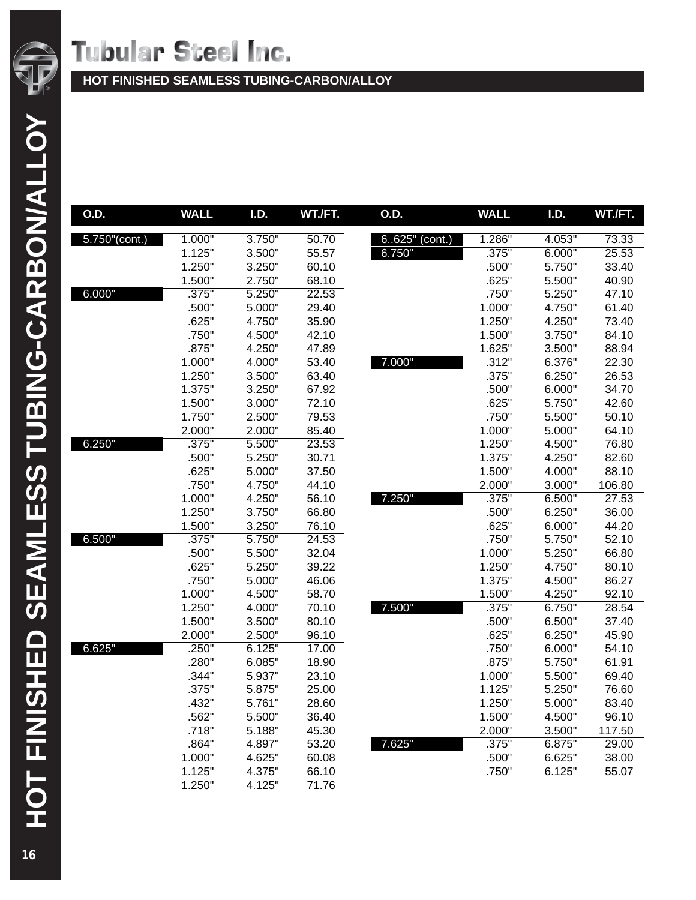

| $5.750$ "(cont.)<br>1.000"<br>3.750"<br>1.286"<br>4.053"<br>50.70<br>$6.625'$ (cont.)<br>73.33<br>1.125"<br>.375"<br>6.000"<br>25.53<br>3.500"<br>55.57<br>6.750"<br>1.250"<br>3.250"<br>60.10<br>.500"<br>5.750"<br>33.40<br>1.500"<br>2.750"<br>68.10<br>.625"<br>5.500"<br>40.90<br>6.000"<br>.375"<br>5.250"<br>22.53<br>.750"<br>5.250"<br>47.10<br>.500"<br>5.000"<br>29.40<br>1.000"<br>4.750"<br>61.40<br>.625"<br>4.750"<br>35.90<br>1.250"<br>4.250"<br>73.40<br>.750"<br>42.10<br>1.500"<br>3.750"<br>84.10<br>4.500"<br>.875"<br>4.250"<br>47.89<br>1.625"<br>3.500"<br>88.94<br>7.000"<br>.312"<br>6.376"<br>22.30<br>1.000"<br>4.000"<br>53.40<br>1.250"<br>3.500"<br>63.40<br>.375"<br>6.250"<br>26.53<br>1.375"<br>3.250"<br>67.92<br>.500"<br>6.000"<br>34.70<br>.625"<br>1.500"<br>3.000"<br>72.10<br>5.750"<br>42.60<br>2.500"<br>79.53<br>.750"<br>5.500"<br>1.750"<br>50.10<br>2.000"<br>2.000"<br>85.40<br>1.000"<br>5.000"<br>64.10<br>6.250"<br>.375"<br>1.250"<br>5.500"<br>23.53<br>4.500"<br>76.80<br>.500"<br>5.250"<br>30.71<br>1.375"<br>4.250"<br>82.60<br>.625"<br>37.50<br>1.500"<br>88.10<br>5.000"<br>4.000"<br>.750"<br>2.000"<br>106.80<br>4.750"<br>44.10<br>3.000"<br>.375"<br>7.250"<br>6.500"<br>1.000"<br>4.250"<br>56.10<br>27.53<br>1.250"<br>3.750"<br>66.80<br>.500"<br>6.250"<br>36.00<br>1.500"<br>3.250"<br>76.10<br>.625"<br>6.000"<br>44.20<br>6.500"<br>.750"<br>.375"<br>5.750"<br>24.53<br>5.750"<br>52.10<br>.500"<br>5.500"<br>32.04<br>1.000"<br>5.250"<br>66.80<br>.625"<br>5.250"<br>39.22<br>1.250"<br>4.750"<br>80.10 | O.D. | <b>WALL</b> | I.D. | WT./FT. | O.D. | <b>WALL</b> | I.D. | WT./FT. |
|------------------------------------------------------------------------------------------------------------------------------------------------------------------------------------------------------------------------------------------------------------------------------------------------------------------------------------------------------------------------------------------------------------------------------------------------------------------------------------------------------------------------------------------------------------------------------------------------------------------------------------------------------------------------------------------------------------------------------------------------------------------------------------------------------------------------------------------------------------------------------------------------------------------------------------------------------------------------------------------------------------------------------------------------------------------------------------------------------------------------------------------------------------------------------------------------------------------------------------------------------------------------------------------------------------------------------------------------------------------------------------------------------------------------------------------------------------------------------------------------------------------------------------------------------------------------------------|------|-------------|------|---------|------|-------------|------|---------|
|                                                                                                                                                                                                                                                                                                                                                                                                                                                                                                                                                                                                                                                                                                                                                                                                                                                                                                                                                                                                                                                                                                                                                                                                                                                                                                                                                                                                                                                                                                                                                                                    |      |             |      |         |      |             |      |         |
|                                                                                                                                                                                                                                                                                                                                                                                                                                                                                                                                                                                                                                                                                                                                                                                                                                                                                                                                                                                                                                                                                                                                                                                                                                                                                                                                                                                                                                                                                                                                                                                    |      |             |      |         |      |             |      |         |
|                                                                                                                                                                                                                                                                                                                                                                                                                                                                                                                                                                                                                                                                                                                                                                                                                                                                                                                                                                                                                                                                                                                                                                                                                                                                                                                                                                                                                                                                                                                                                                                    |      |             |      |         |      |             |      |         |
|                                                                                                                                                                                                                                                                                                                                                                                                                                                                                                                                                                                                                                                                                                                                                                                                                                                                                                                                                                                                                                                                                                                                                                                                                                                                                                                                                                                                                                                                                                                                                                                    |      |             |      |         |      |             |      |         |
|                                                                                                                                                                                                                                                                                                                                                                                                                                                                                                                                                                                                                                                                                                                                                                                                                                                                                                                                                                                                                                                                                                                                                                                                                                                                                                                                                                                                                                                                                                                                                                                    |      |             |      |         |      |             |      |         |
|                                                                                                                                                                                                                                                                                                                                                                                                                                                                                                                                                                                                                                                                                                                                                                                                                                                                                                                                                                                                                                                                                                                                                                                                                                                                                                                                                                                                                                                                                                                                                                                    |      |             |      |         |      |             |      |         |
|                                                                                                                                                                                                                                                                                                                                                                                                                                                                                                                                                                                                                                                                                                                                                                                                                                                                                                                                                                                                                                                                                                                                                                                                                                                                                                                                                                                                                                                                                                                                                                                    |      |             |      |         |      |             |      |         |
|                                                                                                                                                                                                                                                                                                                                                                                                                                                                                                                                                                                                                                                                                                                                                                                                                                                                                                                                                                                                                                                                                                                                                                                                                                                                                                                                                                                                                                                                                                                                                                                    |      |             |      |         |      |             |      |         |
|                                                                                                                                                                                                                                                                                                                                                                                                                                                                                                                                                                                                                                                                                                                                                                                                                                                                                                                                                                                                                                                                                                                                                                                                                                                                                                                                                                                                                                                                                                                                                                                    |      |             |      |         |      |             |      |         |
|                                                                                                                                                                                                                                                                                                                                                                                                                                                                                                                                                                                                                                                                                                                                                                                                                                                                                                                                                                                                                                                                                                                                                                                                                                                                                                                                                                                                                                                                                                                                                                                    |      |             |      |         |      |             |      |         |
|                                                                                                                                                                                                                                                                                                                                                                                                                                                                                                                                                                                                                                                                                                                                                                                                                                                                                                                                                                                                                                                                                                                                                                                                                                                                                                                                                                                                                                                                                                                                                                                    |      |             |      |         |      |             |      |         |
|                                                                                                                                                                                                                                                                                                                                                                                                                                                                                                                                                                                                                                                                                                                                                                                                                                                                                                                                                                                                                                                                                                                                                                                                                                                                                                                                                                                                                                                                                                                                                                                    |      |             |      |         |      |             |      |         |
|                                                                                                                                                                                                                                                                                                                                                                                                                                                                                                                                                                                                                                                                                                                                                                                                                                                                                                                                                                                                                                                                                                                                                                                                                                                                                                                                                                                                                                                                                                                                                                                    |      |             |      |         |      |             |      |         |
|                                                                                                                                                                                                                                                                                                                                                                                                                                                                                                                                                                                                                                                                                                                                                                                                                                                                                                                                                                                                                                                                                                                                                                                                                                                                                                                                                                                                                                                                                                                                                                                    |      |             |      |         |      |             |      |         |
|                                                                                                                                                                                                                                                                                                                                                                                                                                                                                                                                                                                                                                                                                                                                                                                                                                                                                                                                                                                                                                                                                                                                                                                                                                                                                                                                                                                                                                                                                                                                                                                    |      |             |      |         |      |             |      |         |
|                                                                                                                                                                                                                                                                                                                                                                                                                                                                                                                                                                                                                                                                                                                                                                                                                                                                                                                                                                                                                                                                                                                                                                                                                                                                                                                                                                                                                                                                                                                                                                                    |      |             |      |         |      |             |      |         |
|                                                                                                                                                                                                                                                                                                                                                                                                                                                                                                                                                                                                                                                                                                                                                                                                                                                                                                                                                                                                                                                                                                                                                                                                                                                                                                                                                                                                                                                                                                                                                                                    |      |             |      |         |      |             |      |         |
|                                                                                                                                                                                                                                                                                                                                                                                                                                                                                                                                                                                                                                                                                                                                                                                                                                                                                                                                                                                                                                                                                                                                                                                                                                                                                                                                                                                                                                                                                                                                                                                    |      |             |      |         |      |             |      |         |
|                                                                                                                                                                                                                                                                                                                                                                                                                                                                                                                                                                                                                                                                                                                                                                                                                                                                                                                                                                                                                                                                                                                                                                                                                                                                                                                                                                                                                                                                                                                                                                                    |      |             |      |         |      |             |      |         |
|                                                                                                                                                                                                                                                                                                                                                                                                                                                                                                                                                                                                                                                                                                                                                                                                                                                                                                                                                                                                                                                                                                                                                                                                                                                                                                                                                                                                                                                                                                                                                                                    |      |             |      |         |      |             |      |         |
|                                                                                                                                                                                                                                                                                                                                                                                                                                                                                                                                                                                                                                                                                                                                                                                                                                                                                                                                                                                                                                                                                                                                                                                                                                                                                                                                                                                                                                                                                                                                                                                    |      |             |      |         |      |             |      |         |
|                                                                                                                                                                                                                                                                                                                                                                                                                                                                                                                                                                                                                                                                                                                                                                                                                                                                                                                                                                                                                                                                                                                                                                                                                                                                                                                                                                                                                                                                                                                                                                                    |      |             |      |         |      |             |      |         |
|                                                                                                                                                                                                                                                                                                                                                                                                                                                                                                                                                                                                                                                                                                                                                                                                                                                                                                                                                                                                                                                                                                                                                                                                                                                                                                                                                                                                                                                                                                                                                                                    |      |             |      |         |      |             |      |         |
|                                                                                                                                                                                                                                                                                                                                                                                                                                                                                                                                                                                                                                                                                                                                                                                                                                                                                                                                                                                                                                                                                                                                                                                                                                                                                                                                                                                                                                                                                                                                                                                    |      |             |      |         |      |             |      |         |
|                                                                                                                                                                                                                                                                                                                                                                                                                                                                                                                                                                                                                                                                                                                                                                                                                                                                                                                                                                                                                                                                                                                                                                                                                                                                                                                                                                                                                                                                                                                                                                                    |      |             |      |         |      |             |      |         |
| .750"<br>46.06<br>4.500"<br>86.27<br>5.000"<br>1.375"                                                                                                                                                                                                                                                                                                                                                                                                                                                                                                                                                                                                                                                                                                                                                                                                                                                                                                                                                                                                                                                                                                                                                                                                                                                                                                                                                                                                                                                                                                                              |      |             |      |         |      |             |      |         |
| 1.000"<br>4.500"<br>58.70<br>1.500"<br>4.250"<br>92.10                                                                                                                                                                                                                                                                                                                                                                                                                                                                                                                                                                                                                                                                                                                                                                                                                                                                                                                                                                                                                                                                                                                                                                                                                                                                                                                                                                                                                                                                                                                             |      |             |      |         |      |             |      |         |
| 7.500"<br>.375"<br>6.750"<br>28.54<br>1.250"<br>4.000"<br>70.10                                                                                                                                                                                                                                                                                                                                                                                                                                                                                                                                                                                                                                                                                                                                                                                                                                                                                                                                                                                                                                                                                                                                                                                                                                                                                                                                                                                                                                                                                                                    |      |             |      |         |      |             |      |         |
| 1.500"<br>3.500"<br>80.10<br>.500"<br>6.500"<br>37.40                                                                                                                                                                                                                                                                                                                                                                                                                                                                                                                                                                                                                                                                                                                                                                                                                                                                                                                                                                                                                                                                                                                                                                                                                                                                                                                                                                                                                                                                                                                              |      |             |      |         |      |             |      |         |
| 2.000"<br>2.500"<br>96.10<br>.625"<br>6.250"<br>45.90                                                                                                                                                                                                                                                                                                                                                                                                                                                                                                                                                                                                                                                                                                                                                                                                                                                                                                                                                                                                                                                                                                                                                                                                                                                                                                                                                                                                                                                                                                                              |      |             |      |         |      |             |      |         |
| 6.625"<br>.250"<br>.750"<br>6.125"<br>17.00<br>6.000"<br>54.10                                                                                                                                                                                                                                                                                                                                                                                                                                                                                                                                                                                                                                                                                                                                                                                                                                                                                                                                                                                                                                                                                                                                                                                                                                                                                                                                                                                                                                                                                                                     |      |             |      |         |      |             |      |         |
| .280"<br>6.085"<br>18.90<br>.875"<br>61.91<br>5.750"                                                                                                                                                                                                                                                                                                                                                                                                                                                                                                                                                                                                                                                                                                                                                                                                                                                                                                                                                                                                                                                                                                                                                                                                                                                                                                                                                                                                                                                                                                                               |      |             |      |         |      |             |      |         |
| 1.000"<br>69.40<br>.344"<br>5.937"<br>23.10<br>5.500"                                                                                                                                                                                                                                                                                                                                                                                                                                                                                                                                                                                                                                                                                                                                                                                                                                                                                                                                                                                                                                                                                                                                                                                                                                                                                                                                                                                                                                                                                                                              |      |             |      |         |      |             |      |         |
| .375"<br>5.875"<br>25.00<br>1.125"<br>5.250"<br>76.60                                                                                                                                                                                                                                                                                                                                                                                                                                                                                                                                                                                                                                                                                                                                                                                                                                                                                                                                                                                                                                                                                                                                                                                                                                                                                                                                                                                                                                                                                                                              |      |             |      |         |      |             |      |         |
| .432"<br>5.761"<br>28.60<br>1.250"<br>5.000"<br>83.40<br>5.500"<br>1.500"<br>4.500"<br>96.10                                                                                                                                                                                                                                                                                                                                                                                                                                                                                                                                                                                                                                                                                                                                                                                                                                                                                                                                                                                                                                                                                                                                                                                                                                                                                                                                                                                                                                                                                       |      |             |      |         |      |             |      |         |
| .562"<br>36.40                                                                                                                                                                                                                                                                                                                                                                                                                                                                                                                                                                                                                                                                                                                                                                                                                                                                                                                                                                                                                                                                                                                                                                                                                                                                                                                                                                                                                                                                                                                                                                     |      |             |      |         |      |             |      |         |
| .718"<br>5.188"<br>45.30<br>2.000"<br>3.500"<br>117.50<br>7.625"<br>.864"<br>.375"<br>6.875"<br>53.20<br>29.00                                                                                                                                                                                                                                                                                                                                                                                                                                                                                                                                                                                                                                                                                                                                                                                                                                                                                                                                                                                                                                                                                                                                                                                                                                                                                                                                                                                                                                                                     |      |             |      |         |      |             |      |         |
| 4.897"<br>1.000"<br>4.625"<br>60.08<br>.500"<br>6.625"<br>38.00                                                                                                                                                                                                                                                                                                                                                                                                                                                                                                                                                                                                                                                                                                                                                                                                                                                                                                                                                                                                                                                                                                                                                                                                                                                                                                                                                                                                                                                                                                                    |      |             |      |         |      |             |      |         |
| 1.125"<br>4.375"<br>66.10<br>.750"<br>6.125"<br>55.07                                                                                                                                                                                                                                                                                                                                                                                                                                                                                                                                                                                                                                                                                                                                                                                                                                                                                                                                                                                                                                                                                                                                                                                                                                                                                                                                                                                                                                                                                                                              |      |             |      |         |      |             |      |         |
| 1.250"<br>4.125"<br>71.76                                                                                                                                                                                                                                                                                                                                                                                                                                                                                                                                                                                                                                                                                                                                                                                                                                                                                                                                                                                                                                                                                                                                                                                                                                                                                                                                                                                                                                                                                                                                                          |      |             |      |         |      |             |      |         |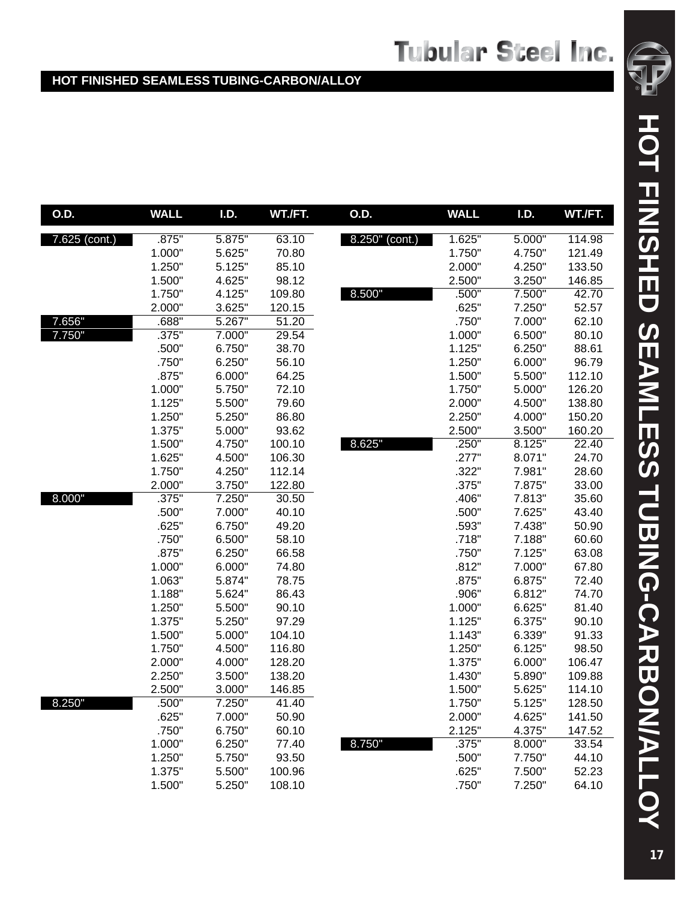| O.D.                       | <b>WALL</b> | I.D.   | WT./FT. | O.D.           | <b>WALL</b> | I.D.   | WT./FT. |
|----------------------------|-------------|--------|---------|----------------|-------------|--------|---------|
| $7.\overline{625}$ (cont.) | .875"       | 5.875" | 63.10   | 8.250" (cont.) | 1.625"      | 5.000" | 114.98  |
|                            | 1.000"      | 5.625" | 70.80   |                | 1.750"      | 4.750" | 121.49  |
|                            | 1.250"      | 5.125" | 85.10   |                | 2.000"      | 4.250" | 133.50  |
|                            | 1.500"      | 4.625" | 98.12   |                | 2.500"      | 3.250" | 146.85  |
|                            | 1.750"      | 4.125" | 109.80  | 8.500"         | .500"       | 7.500" | 42.70   |
|                            | 2.000"      | 3.625" | 120.15  |                | .625"       | 7.250" | 52.57   |
| 7.656"                     | .688"       | 5.267" | 51.20   |                | .750"       | 7.000" | 62.10   |
| 7.750"                     | .375"       | 7.000" | 29.54   |                | 1.000"      | 6.500" | 80.10   |
|                            | .500"       | 6.750" | 38.70   |                | 1.125"      | 6.250" | 88.61   |
|                            | .750"       | 6.250" | 56.10   |                | 1.250"      | 6.000" | 96.79   |
|                            | .875"       | 6.000" | 64.25   |                | 1.500"      | 5.500" | 112.10  |
|                            | 1.000"      | 5.750" | 72.10   |                | 1.750"      | 5.000" | 126.20  |
|                            | 1.125"      | 5.500" | 79.60   |                | 2.000"      | 4.500" | 138.80  |
|                            | 1.250"      | 5.250" | 86.80   |                | 2.250"      | 4.000" | 150.20  |
|                            | 1.375"      | 5.000" | 93.62   |                | 2.500"      | 3.500" | 160.20  |
|                            | 1.500"      | 4.750" | 100.10  | 8.625"         | .250"       | 8.125" | 22.40   |
|                            | 1.625"      | 4.500" | 106.30  |                | .277"       | 8.071" | 24.70   |
|                            | 1.750"      | 4.250" | 112.14  |                | .322"       | 7.981" | 28.60   |
|                            | 2.000"      | 3.750" | 122.80  |                | .375"       | 7.875" | 33.00   |
| 8.000"                     | .375"       | 7.250" | 30.50   |                | .406"       | 7.813" | 35.60   |
|                            | .500"       | 7.000" | 40.10   |                | .500"       | 7.625" | 43.40   |
|                            | .625"       | 6.750" | 49.20   |                | .593"       | 7.438" | 50.90   |
|                            | .750"       | 6.500" | 58.10   |                | .718"       | 7.188" | 60.60   |
|                            | .875"       | 6.250" | 66.58   |                | .750"       | 7.125" | 63.08   |
|                            | 1.000"      | 6.000" | 74.80   |                | .812"       | 7.000" | 67.80   |
|                            | 1.063"      | 5.874" | 78.75   |                | .875"       | 6.875" | 72.40   |
|                            | 1.188"      | 5.624" | 86.43   |                | .906"       | 6.812" | 74.70   |
|                            | 1.250"      | 5.500" | 90.10   |                | 1.000"      | 6.625" | 81.40   |
|                            | 1.375"      | 5.250" | 97.29   |                | 1.125"      | 6.375" | 90.10   |
|                            | 1.500"      | 5.000" | 104.10  |                | 1.143"      | 6.339" | 91.33   |
|                            | 1.750"      | 4.500" | 116.80  |                | 1.250"      | 6.125" | 98.50   |
|                            | 2.000"      | 4.000" | 128.20  |                | 1.375"      | 6.000" | 106.47  |
|                            | 2.250"      | 3.500" | 138.20  |                | 1.430"      | 5.890" | 109.88  |
|                            | 2.500"      | 3.000" | 146.85  |                | 1.500"      | 5.625" | 114.10  |
| 8.250"                     | .500"       | 7.250" | 41.40   |                | 1.750"      | 5.125" | 128.50  |
|                            | .625"       | 7.000" | 50.90   |                | 2.000"      | 4.625" | 141.50  |
|                            | .750"       | 6.750" | 60.10   |                | 2.125"      | 4.375" | 147.52  |
|                            | 1.000"      | 6.250" | 77.40   | 8.750"         | .375"       | 8.000" | 33.54   |
|                            | 1.250"      | 5.750" | 93.50   |                | .500"       | 7.750" | 44.10   |
|                            | 1.375"      | 5.500" | 100.96  |                | .625"       | 7.500" | 52.23   |
|                            | 1.500"      | 5.250" | 108.10  |                | .750"       | 7.250" | 64.10   |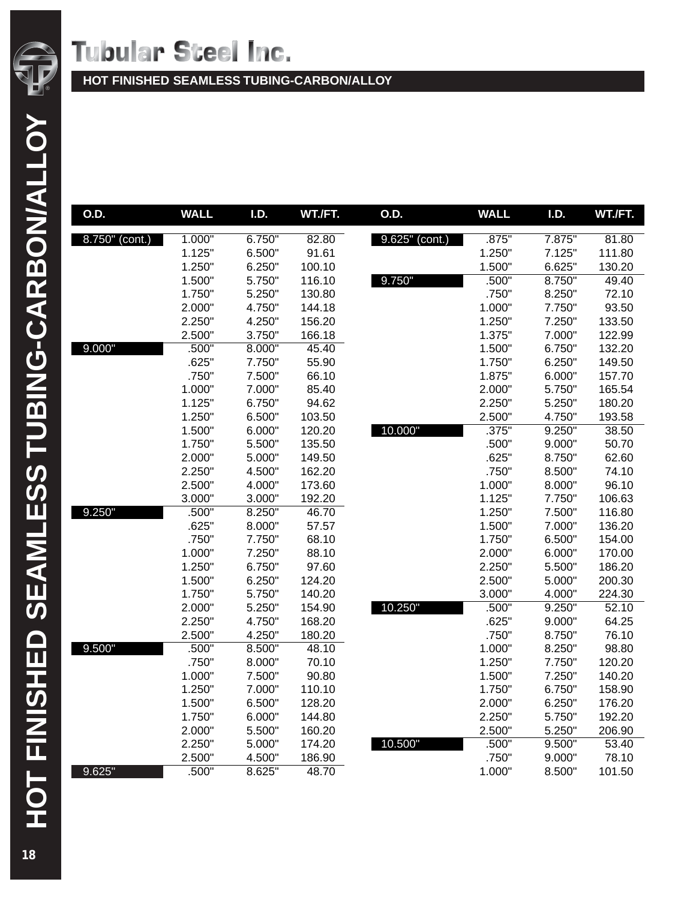

| O.D.           | <b>WALL</b>      | <b>I.D.</b>      | WT./FT.         | O.D.           | <b>WALL</b>      | <b>I.D.</b>      | WT./FT.         |
|----------------|------------------|------------------|-----------------|----------------|------------------|------------------|-----------------|
| 8.750" (cont.) | 1.000"           | 6.750"           | 82.80           | 9.625" (cont.) | .875"            | 7.875"           | 81.80           |
|                | 1.125"           | 6.500"           | 91.61           |                | 1.250"           | 7.125"           | 111.80          |
|                | 1.250"           | 6.250"           | 100.10          |                | 1.500"           | 6.625"           | 130.20          |
|                | 1.500"           | 5.750"           | 116.10          | 9.750"         | .500"            | 8.750"           | 49.40           |
|                | 1.750"           | 5.250"           | 130.80          |                | .750"            | 8.250"           | 72.10           |
|                | 2.000"           | 4.750"           | 144.18          |                | 1.000"           | 7.750"           | 93.50           |
|                | 2.250"           | 4.250"           | 156.20          |                | 1.250"           | 7.250"           | 133.50          |
|                | 2.500"           | 3.750"           | 166.18          |                | 1.375"           | 7.000"           | 122.99          |
| 9.000"         | .500"            | 8.000"           | 45.40           |                | 1.500"           | 6.750"           | 132.20          |
|                | .625"            | 7.750"           | 55.90           |                | 1.750"           | 6.250"           | 149.50          |
|                | .750"            | 7.500"           | 66.10           |                | 1.875"           | 6.000"           | 157.70          |
|                | 1.000"           | 7.000"           | 85.40           |                | 2.000"           | 5.750"           | 165.54          |
|                | 1.125"           | 6.750"           | 94.62           |                | 2.250"           | 5.250"           | 180.20          |
|                | 1.250"           | 6.500"           | 103.50          |                | 2.500"           | 4.750"           | 193.58          |
|                | 1.500"           | 6.000"           | 120.20          | 10.000"        | .375"            | 9.250"           | 38.50           |
|                | 1.750"           | 5.500"           | 135.50          |                | .500"            | 9.000"           | 50.70           |
|                | 2.000"           | 5.000"           | 149.50          |                | .625"            | 8.750"           | 62.60           |
|                | 2.250"           | 4.500"           | 162.20          |                | .750"            | 8.500"           | 74.10           |
|                | 2.500"           | 4.000"           | 173.60          |                | 1.000"           | 8.000"           | 96.10           |
|                | 3.000"           | 3.000"           | 192.20          |                | 1.125"           | 7.750"           | 106.63          |
| 9.250"         | .500"            | 8.250"           | 46.70           |                | 1.250"           | 7.500"           | 116.80          |
|                | .625"            | 8.000"           | 57.57           |                | 1.500"           | 7.000"           | 136.20          |
|                | .750"            | 7.750"           | 68.10           |                | 1.750"           | 6.500"           | 154.00          |
|                | 1.000"           | 7.250"           | 88.10           |                | 2.000"           | 6.000"           | 170.00          |
|                | 1.250"           | 6.750"           | 97.60           |                | 2.250"           | 5.500"           | 186.20          |
|                | 1.500"           | 6.250"           | 124.20          |                | 2.500"           | 5.000"           | 200.30          |
|                | 1.750"           | 5.750"           | 140.20          |                | 3.000"           | 4.000"           | 224.30          |
|                | 2.000"           | 5.250"           | 154.90          | 10.250"        | .500"            | 9.250"           | 52.10           |
|                | 2.250"           | 4.750"           | 168.20          |                | .625"            | 9.000"           | 64.25           |
|                | 2.500"           | 4.250"           | 180.20          |                | .750"            | 8.750"           | 76.10           |
| 9.500"         | .500"            | 8.500"           | 48.10           |                | 1.000"           | 8.250"           | 98.80<br>120.20 |
|                | .750"            | 8.000"           | 70.10           |                | 1.250"           | 7.750"<br>7.250" | 140.20          |
|                | 1.000"<br>1.250" | 7.500"<br>7.000" | 90.80<br>110.10 |                | 1.500"<br>1.750" | 6.750"           | 158.90          |
|                |                  | 6.500"           | 128.20          |                |                  |                  | 176.20          |
|                | 1.500"<br>1.750" | 6.000"           | 144.80          |                | 2.000"<br>2.250" | 6.250"<br>5.750" | 192.20          |
|                | 2.000"           | 5.500"           | 160.20          |                | 2.500"           | 5.250"           | 206.90          |
|                | 2.250"           | 5.000"           | 174.20          | 10.500"        | .500"            | 9.500"           | 53.40           |
|                | 2.500"           | 4.500"           | 186.90          |                | .750"            | 9.000"           | 78.10           |
|                |                  |                  |                 |                |                  |                  |                 |
| 9.625"         | .500"            | 8.625"           | 48.70           |                | 1.000"           | 8.500"           | 101.50          |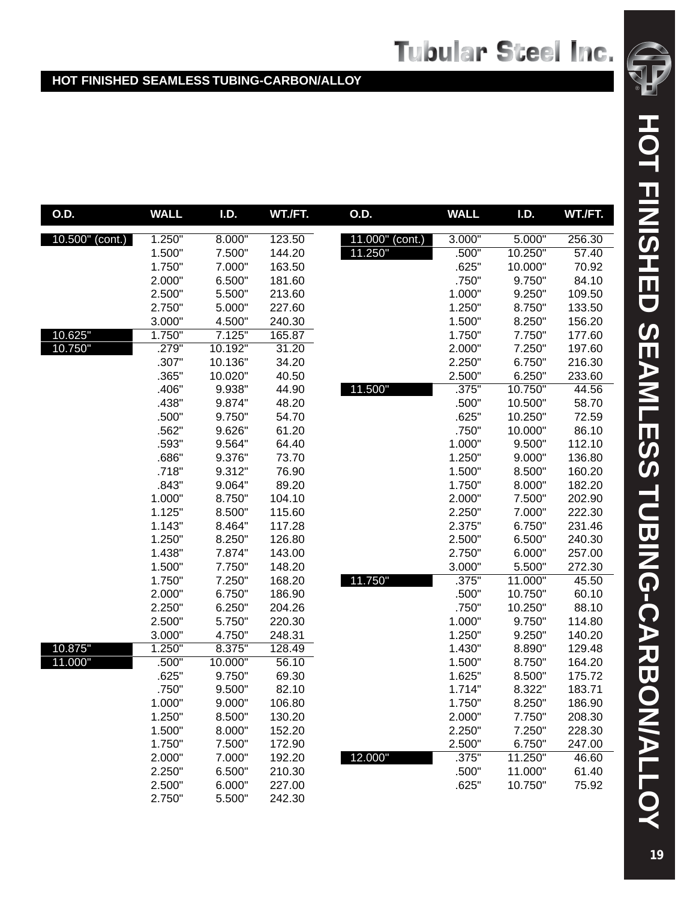| O.D.            | <b>WALL</b> | I.D.    | WT./FT. | <b>O.D.</b>        | <b>WALL</b> | <b>I.D.</b> | WT./FT. |
|-----------------|-------------|---------|---------|--------------------|-------------|-------------|---------|
| 10.500" (cont.) | 1.250"      | 8.000"  | 123.50  | 11.000"<br>(cont.) | 3.000"      | 5.000"      | 256.30  |
|                 | 1.500"      | 7.500"  | 144.20  | 11.250"            | .500"       | 10.250"     | 57.40   |
|                 | 1.750"      | 7.000"  | 163.50  |                    | .625"       | 10.000"     | 70.92   |
|                 | 2.000"      | 6.500"  | 181.60  |                    | .750"       | 9.750"      | 84.10   |
|                 | 2.500"      | 5.500"  | 213.60  |                    | 1.000"      | 9.250"      | 109.50  |
|                 | 2.750"      | 5.000"  | 227.60  |                    | 1.250"      | 8.750"      | 133.50  |
|                 | 3.000"      | 4.500"  | 240.30  |                    | 1.500"      | 8.250"      | 156.20  |
| 10.625"         | 1.750"      | 7.125"  | 165.87  |                    | 1.750"      | 7.750"      | 177.60  |
| 10.750"         | .279"       | 10.192" | 31.20   |                    | 2.000"      | 7.250"      | 197.60  |
|                 | .307"       | 10.136" | 34.20   |                    | 2.250"      | 6.750"      | 216.30  |
|                 | .365"       | 10.020" | 40.50   |                    | 2.500"      | 6.250"      | 233.60  |
|                 | .406"       | 9.938"  | 44.90   | 11.500"            | .375"       | 10.750"     | 44.56   |
|                 | .438"       | 9.874"  | 48.20   |                    | .500"       | 10.500"     | 58.70   |
|                 | .500"       | 9.750"  | 54.70   |                    | .625"       | 10.250"     | 72.59   |
|                 | .562"       | 9.626"  | 61.20   |                    | .750"       | 10.000"     | 86.10   |
|                 | .593"       | 9.564"  | 64.40   |                    | 1.000"      | 9.500"      | 112.10  |
|                 | .686"       | 9.376"  | 73.70   |                    | 1.250"      | 9.000"      | 136.80  |
|                 | .718"       | 9.312"  | 76.90   |                    | 1.500"      | 8.500"      | 160.20  |
|                 | .843"       | 9.064"  | 89.20   |                    | 1.750"      | 8.000"      | 182.20  |
|                 | 1.000"      | 8.750"  | 104.10  |                    | 2.000"      | 7.500"      | 202.90  |
|                 | 1.125"      | 8.500"  | 115.60  |                    | 2.250"      | 7.000"      | 222.30  |
|                 | 1.143"      | 8.464"  | 117.28  |                    | 2.375"      | 6.750"      | 231.46  |
|                 | 1.250"      | 8.250"  | 126.80  |                    | 2.500"      | 6.500"      | 240.30  |
|                 | 1.438"      | 7.874"  | 143.00  |                    | 2.750"      | 6.000"      | 257.00  |
|                 | 1.500"      | 7.750"  | 148.20  |                    | 3.000"      | 5.500       | 272.30  |
|                 | 1.750"      | 7.250"  | 168.20  | 11.750"            | .375"       | 11.000"     | 45.50   |
|                 | 2.000"      | 6.750"  | 186.90  |                    | .500"       | 10.750"     | 60.10   |
|                 | 2.250"      | 6.250"  | 204.26  |                    | .750"       | 10.250"     | 88.10   |
|                 | 2.500"      | 5.750"  | 220.30  |                    | 1.000"      | 9.750"      | 114.80  |
|                 | 3.000"      | 4.750"  | 248.31  |                    | 1.250"      | 9.250"      | 140.20  |
| 10.875"         | 1.250"      | 8.375"  | 128.49  |                    | 1.430"      | 8.890"      | 129.48  |
| 11.000"         | .500"       | 10.000" | 56.10   |                    | 1.500"      | 8.750"      | 164.20  |
|                 | .625"       | 9.750"  | 69.30   |                    | 1.625"      | 8.500"      | 175.72  |
|                 | .750"       | 9.500"  | 82.10   |                    | 1.714"      | 8.322"      | 183.71  |
|                 | 1.000"      | 9.000"  | 106.80  |                    | 1.750"      | 8.250"      | 186.90  |
|                 | 1.250"      | 8.500"  | 130.20  |                    | 2.000"      | 7.750"      | 208.30  |
|                 | 1.500"      | 8.000"  | 152.20  |                    | 2.250"      | 7.250"      | 228.30  |
|                 | 1.750"      | 7.500"  | 172.90  |                    | 2.500"      | 6.750"      | 247.00  |
|                 | 2.000"      | 7.000"  | 192.20  | 12.000"            | .375"       | 11.250"     | 46.60   |
|                 | 2.250"      | 6.500"  | 210.30  |                    | .500"       | 11.000"     | 61.40   |
|                 | 2.500"      | 6.000"  | 227.00  |                    | .625"       | 10.750"     | 75.92   |
|                 | 2.750"      | 5.500"  | 242.30  |                    |             |             |         |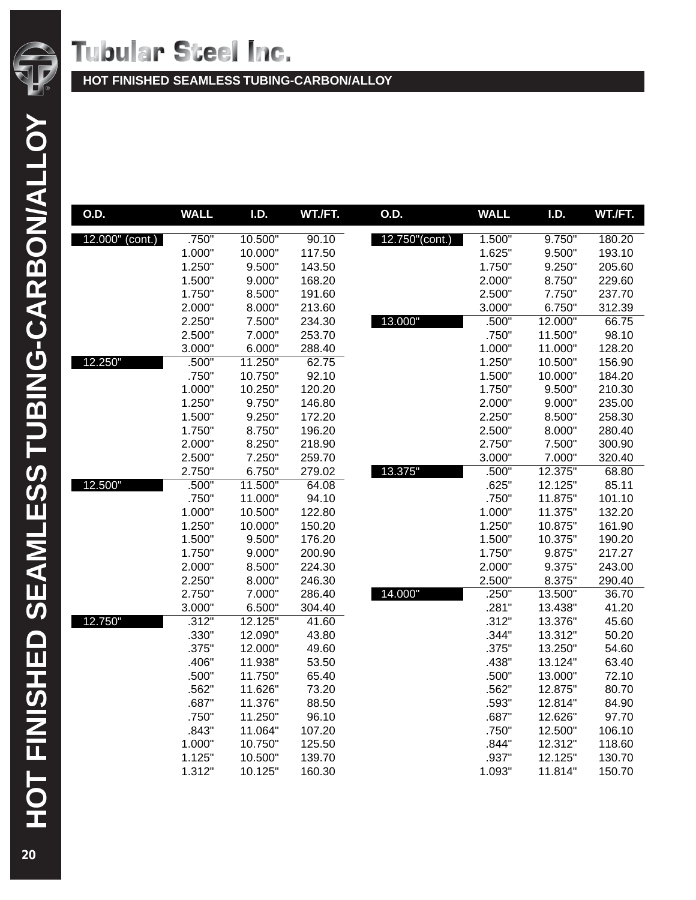

**HOT FINISHED SEAMLESS TUBING-CARBON/ALLOY**

| O.D.               | <b>WALL</b>     | I.D.              | WT./FT.         | O.D.           | <b>WALL</b>    | I.D.               | WT./FT.        |
|--------------------|-----------------|-------------------|-----------------|----------------|----------------|--------------------|----------------|
| $12.000''$ (cont.) | .750"           | 10.500"           | 90.10           | 12.750"(cont.) | 1.500"         | 9.750"             | 180.20         |
|                    | 1.000"          | 10.000"           | 117.50          |                | 1.625"         | 9.500"             | 193.10         |
|                    | 1.250"          | 9.500"            | 143.50          |                | 1.750"         | 9.250"             | 205.60         |
|                    | 1.500"          | 9.000"            | 168.20          |                | 2.000"         | 8.750"             | 229.60         |
|                    | 1.750"          | 8.500"            | 191.60          |                | 2.500"         | 7.750"             | 237.70         |
|                    | 2.000"          | 8.000"            | 213.60          |                | 3.000"         | 6.750"             | 312.39         |
|                    | 2.250"          | 7.500"            | 234.30          | 13.000"        | .500"          | 12.000"            | 66.75          |
|                    | 2.500"          | 7.000"            | 253.70          |                | .750"          | 11.500"            | 98.10          |
|                    | 3.000"          | 6.000"            | 288.40          |                | 1.000"         | 11.000"            | 128.20         |
| 12.250"            | .500"           | 11.250"           | 62.75           |                | 1.250"         | 10.500"            | 156.90         |
|                    | .750"           | 10.750"           | 92.10           |                | 1.500"         | 10.000"            | 184.20         |
|                    | 1.000"          | 10.250"           | 120.20          |                | 1.750"         | 9.500"             | 210.30         |
|                    | 1.250"          | 9.750"            | 146.80          |                | 2.000"         | 9.000"             | 235.00         |
|                    | 1.500"          | 9.250"            | 172.20          |                | 2.250"         | 8.500"             | 258.30         |
|                    | 1.750"          | 8.750"            | 196.20          |                | 2.500"         | 8.000"             | 280.40         |
|                    | 2.000"          | 8.250"            | 218.90          |                | 2.750"         | 7.500"             | 300.90         |
|                    | 2.500"          | 7.250"            | 259.70          |                | 3.000"         | 7.000"             | 320.40         |
|                    | 2.750"          | 6.750"            | 279.02          | 13.375"        | .500"          | 12.375"            | 68.80          |
| 12.500"            | .500"           | 11.500"           | 64.08           |                | .625"          | 12.125"            | 85.11          |
|                    | .750"           | 11.000"           | 94.10           |                | .750"          | 11.875"            | 101.10         |
|                    | 1.000"          | 10.500"           | 122.80          |                | 1.000"         | 11.375"            | 132.20         |
|                    | 1.250"          | 10.000"           | 150.20          |                | 1.250"         | 10.875"            | 161.90         |
|                    | 1.500"          | 9.500"            | 176.20          |                | 1.500"         | 10.375"            | 190.20         |
|                    | 1.750"          | 9.000"            | 200.90          |                | 1.750"         | 9.875"             | 217.27         |
|                    | 2.000"          | 8.500"            | 224.30          |                | 2.000"         | 9.375"             | 243.00         |
|                    | 2.250"          | 8.000"            | 246.30          | 14.000"        | 2.500"         | 8.375"             | 290.40         |
|                    | 2.750"          | 7.000"            | 286.40          |                | .250"          | 13.500"            | 36.70<br>41.20 |
| 12.750"            | 3.000"<br>.312" | 6.500"<br>12.125" | 304.40<br>41.60 |                | .281"<br>.312" | 13.438"<br>13.376" | 45.60          |
|                    | .330"           | 12.090"           | 43.80           |                | .344"          | 13.312"            | 50.20          |
|                    | .375"           | 12.000"           | 49.60           |                | .375"          | 13.250"            | 54.60          |
|                    | .406"           | 11.938"           | 53.50           |                | .438"          | 13.124"            | 63.40          |
|                    | .500"           | 11.750"           | 65.40           |                | .500"          | 13.000"            | 72.10          |
|                    | .562"           | 11.626"           | 73.20           |                | .562"          | 12.875"            | 80.70          |
|                    | .687"           | 11.376"           | 88.50           |                | .593"          | 12.814"            | 84.90          |
|                    | .750"           | 11.250"           | 96.10           |                | .687"          | 12.626"            | 97.70          |
|                    | .843"           | 11.064"           | 107.20          |                | .750"          | 12.500"            | 106.10         |
|                    | 1.000"          | 10.750"           | 125.50          |                | .844"          | 12.312"            | 118.60         |
|                    | 1.125"          | 10.500"           | 139.70          |                | .937"          | 12.125"            | 130.70         |
|                    | 1.312"          | 10.125"           | 160.30          |                | 1.093"         | 11.814"            | 150.70         |
|                    |                 |                   |                 |                |                |                    |                |

HOT FINISHED SEAMLESS TUBING-CARBON/ALLOY **HOT FINISHED SEAMLESS TUBING-CARBON/ALLOY**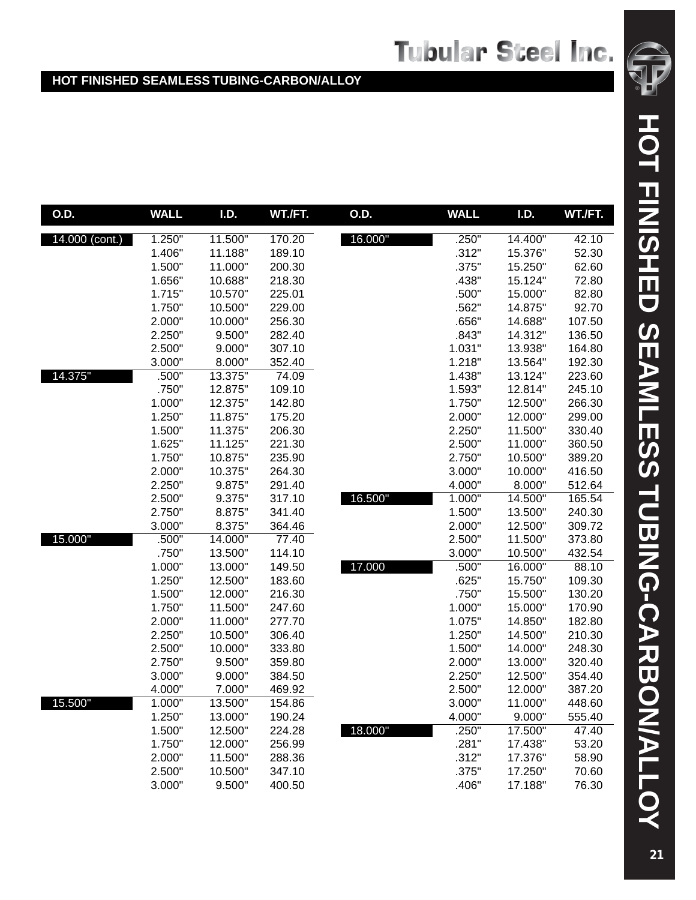| O.D.           | <b>WALL</b> | I.D.    | WT./FT. | O.D.    | <b>WALL</b> | I.D.    | WT./FT. |
|----------------|-------------|---------|---------|---------|-------------|---------|---------|
| 14.000 (cont.) | 1.250"      | 11.500" | 170.20  | 16.000" | .250"       | 14.400" | 42.10   |
|                | 1.406"      | 11.188" | 189.10  |         | .312"       | 15.376" | 52.30   |
|                | 1.500"      | 11.000" | 200.30  |         | .375"       | 15.250" | 62.60   |
|                | 1.656"      | 10.688" | 218.30  |         | .438"       | 15.124" | 72.80   |
|                | 1.715"      | 10.570" | 225.01  |         | .500"       | 15.000" | 82.80   |
|                | 1.750"      | 10.500" | 229.00  |         | .562"       | 14.875" | 92.70   |
|                | 2.000"      | 10.000" | 256.30  |         | .656"       | 14.688" | 107.50  |
|                | 2.250"      | 9.500"  | 282.40  |         | .843"       | 14.312" | 136.50  |
|                | 2.500"      | 9.000"  | 307.10  |         | 1.031"      | 13.938" | 164.80  |
|                | 3.000"      | 8.000"  | 352.40  |         | 1.218"      | 13.564" | 192.30  |
| 14.375"        | .500"       | 13.375" | 74.09   |         | 1.438"      | 13.124" | 223.60  |
|                | .750"       | 12.875" | 109.10  |         | 1.593"      | 12.814" | 245.10  |
|                | 1.000"      | 12.375" | 142.80  |         | 1.750"      | 12.500" | 266.30  |
|                | 1.250"      | 11.875" | 175.20  |         | 2.000"      | 12.000" | 299.00  |
|                | 1.500"      | 11.375" | 206.30  |         | 2.250"      | 11.500" | 330.40  |
|                | 1.625"      | 11.125" | 221.30  |         | 2.500"      | 11.000" | 360.50  |
|                | 1.750"      | 10.875" | 235.90  |         | 2.750"      | 10.500" | 389.20  |
|                | 2.000"      | 10.375" | 264.30  |         | 3.000"      | 10.000" | 416.50  |
|                | 2.250"      | 9.875"  | 291.40  |         | 4.000"      | 8.000"  | 512.64  |
|                | 2.500"      | 9.375"  | 317.10  | 16.500" | 1.000"      | 14.500" | 165.54  |
|                | 2.750"      | 8.875"  | 341.40  |         | 1.500"      | 13.500" | 240.30  |
|                | 3.000"      | 8.375"  | 364.46  |         | 2.000"      | 12.500" | 309.72  |
| 15.000"        | .500"       | 14.000" | 77.40   |         | 2.500"      | 11.500" | 373.80  |
|                | .750"       | 13.500" | 114.10  |         | 3.000"      | 10.500" | 432.54  |
|                | 1.000"      | 13.000" | 149.50  | 17.000  | .500"       | 16.000" | 88.10   |
|                | 1.250"      | 12.500" | 183.60  |         | .625"       | 15.750" | 109.30  |
|                | 1.500"      | 12.000" | 216.30  |         | .750"       | 15.500" | 130.20  |
|                | 1.750"      | 11.500" | 247.60  |         | 1.000"      | 15.000" | 170.90  |
|                | 2.000"      | 11.000" | 277.70  |         | 1.075"      | 14.850" | 182.80  |
|                | 2.250"      | 10.500" | 306.40  |         | 1.250"      | 14.500" | 210.30  |
|                | 2.500"      | 10.000" | 333.80  |         | 1.500"      | 14.000" | 248.30  |
|                | 2.750"      | 9.500"  | 359.80  |         | 2.000"      | 13.000" | 320.40  |
|                | 3.000"      | 9.000"  | 384.50  |         | 2.250"      | 12.500" | 354.40  |
|                | 4.000"      | 7.000"  | 469.92  |         | 2.500"      | 12.000" | 387.20  |
| 15.500"        | 1.000"      | 13.500" | 154.86  |         | 3.000"      | 11.000" | 448.60  |
|                | 1.250"      | 13.000" | 190.24  |         | 4.000"      | 9.000"  | 555.40  |
|                | 1.500"      | 12.500" | 224.28  | 18.000" | .250"       | 17.500" | 47.40   |
|                | 1.750"      | 12.000" | 256.99  |         | .281"       | 17.438" | 53.20   |
|                | 2.000"      | 11.500" | 288.36  |         | .312"       | 17.376" | 58.90   |
|                | 2.500"      | 10.500" | 347.10  |         | .375"       | 17.250" | 70.60   |
|                | 3.000"      | 9.500"  | 400.50  |         | .406"       | 17.188" | 76.30   |

HOT FINISHED SEAMLESS TUBING-CARBON/ALLOY **HOT FINISHED SEAMLESS TUBING-CARBON/ALLOY**

®

 $\sqrt{2}$ ď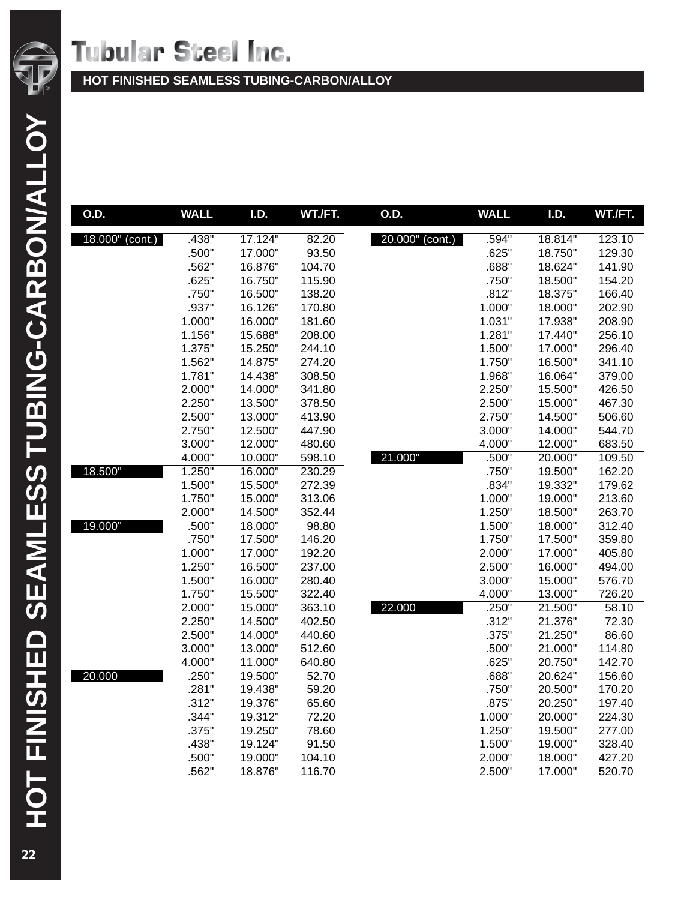

**HOT FINISHED SEAMLESS TUBING-CARBON/ALLOY**

| O.D.            | <b>WALL</b> | <b>I.D.</b> | WT./FT. | O.D.            | <b>WALL</b> | <b>I.D.</b> | WT./FT. |
|-----------------|-------------|-------------|---------|-----------------|-------------|-------------|---------|
| 18.000" (cont.) | .438"       | 17.124"     | 82.20   | 20.000" (cont.) | .594"       | 18.814"     | 123.10  |
|                 | .500"       | 17.000"     | 93.50   |                 | .625"       | 18.750"     | 129.30  |
|                 | .562"       | 16.876"     | 104.70  |                 | .688"       | 18.624"     | 141.90  |
|                 | .625"       | 16.750"     | 115.90  |                 | .750"       | 18.500"     | 154.20  |
|                 | .750"       | 16.500"     | 138.20  |                 | .812"       | 18.375"     | 166.40  |
|                 | .937"       | 16.126"     | 170.80  |                 | 1.000"      | 18.000"     | 202.90  |
|                 | 1.000"      | 16.000"     | 181.60  |                 | 1.031"      | 17.938"     | 208.90  |
|                 | 1.156"      | 15.688"     | 208.00  |                 | 1.281"      | 17.440"     | 256.10  |
|                 | 1.375"      | 15.250"     | 244.10  |                 | 1.500"      | 17.000"     | 296.40  |
|                 | 1.562"      | 14.875"     | 274.20  |                 | 1.750"      | 16.500"     | 341.10  |
|                 | 1.781"      | 14.438"     | 308.50  |                 | 1.968"      | 16.064"     | 379.00  |
|                 | 2.000"      | 14.000"     | 341.80  |                 | 2.250"      | 15.500"     | 426.50  |
|                 | 2.250"      | 13.500"     | 378.50  |                 | 2.500"      | 15.000"     | 467.30  |
|                 | 2.500"      | 13.000"     | 413.90  |                 | 2.750"      | 14.500"     | 506.60  |
|                 | 2.750"      | 12.500"     | 447.90  |                 | 3.000"      | 14.000"     | 544.70  |
|                 | 3.000"      | 12.000"     | 480.60  |                 | 4.000"      | 12.000"     | 683.50  |
|                 | 4.000"      | 10.000"     | 598.10  | 21.000"         | .500"       | 20.000"     | 109.50  |
| 18.500"         | 1.250"      | 16.000"     | 230.29  |                 | .750"       | 19.500"     | 162.20  |
|                 | 1.500"      | 15.500"     | 272.39  |                 | .834"       | 19.332"     | 179.62  |
|                 | 1.750"      | 15.000"     | 313.06  |                 | 1.000"      | 19.000"     | 213.60  |
|                 | 2.000"      | 14.500"     | 352.44  |                 | 1.250"      | 18.500"     | 263.70  |
| 19.000"         | .500"       | 18.000"     | 98.80   |                 | 1.500"      | 18.000"     | 312.40  |
|                 | .750"       | 17.500"     | 146.20  |                 | 1.750"      | 17.500"     | 359.80  |
|                 | 1.000"      | 17.000"     | 192.20  |                 | 2.000"      | 17.000"     | 405.80  |
|                 | 1.250"      | 16.500"     | 237.00  |                 | 2.500"      | 16.000"     | 494.00  |
|                 | 1.500"      | 16.000"     | 280.40  |                 | 3.000"      | 15.000"     | 576.70  |
|                 | 1.750"      | 15.500"     | 322.40  |                 | 4.000"      | 13.000"     | 726.20  |
|                 | 2.000"      | 15.000"     | 363.10  | 22.000          | .250"       | 21.500"     | 58.10   |
|                 | 2.250"      | 14.500"     | 402.50  |                 | .312"       | 21.376"     | 72.30   |
|                 | 2.500"      | 14.000"     | 440.60  |                 | .375"       | 21.250"     | 86.60   |
|                 | 3.000"      | 13.000"     | 512.60  |                 | .500"       | 21.000"     | 114.80  |
|                 | 4.000"      | 11.000"     | 640.80  |                 | .625"       | 20.750"     | 142.70  |
| 20.000          | .250"       | 19.500"     | 52.70   |                 | .688"       | 20.624"     | 156.60  |
|                 | .281"       | 19.438"     | 59.20   |                 | .750"       | 20.500"     | 170.20  |
|                 | .312"       | 19.376"     | 65.60   |                 | .875"       | 20.250"     | 197.40  |
|                 | .344"       | 19.312"     | 72.20   |                 | 1.000"      | 20.000"     | 224.30  |
|                 | .375"       | 19.250"     | 78.60   |                 | 1.250"      | 19.500"     | 277.00  |
|                 | .438"       | 19.124"     | 91.50   |                 | 1.500"      | 19.000"     | 328.40  |
|                 | .500"       | 19.000"     | 104.10  |                 | 2.000"      | 18.000"     | 427.20  |
|                 | .562"       | 18.876"     | 116.70  |                 | 2.500"      | 17.000"     | 520.70  |

HOT FINSHED SEAMLESS TUBING-CARBON/ALLOY **HOT FINISHED SEAMLESS TUBING-CARBON/ALLOY**